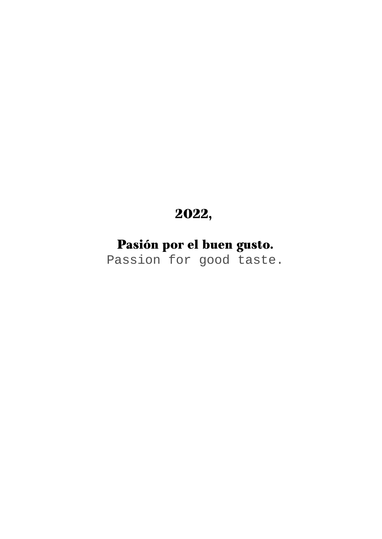# 2022,

Pasión por el buen gusto. Passion for good taste.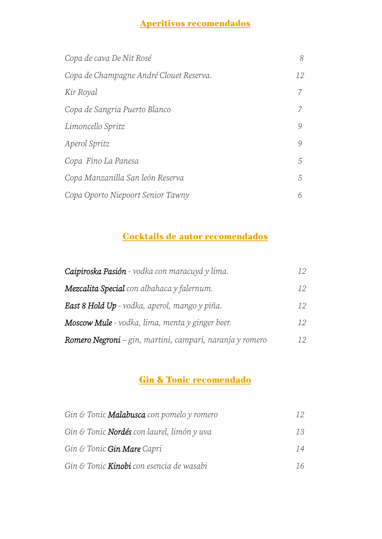# Aperitivos recomendados

| Copa de cava De Nit Rosé                | 8  |
|-----------------------------------------|----|
| Copa de Champagne André Clouet Reserva. | 12 |
| Kir Royal                               | 7  |
| Copa de Sangria Puerto Blanco           |    |
| Limoncello Spritz                       | 9  |
| Aperol Spritz                           | 9  |
| Copa Fino La Panesa                     | .5 |
| Copa Manzanilla San león Reserva        | 5  |
| Copa Oporto Niepoort Senior Tawny       | 6  |

# Cocktails de autor recomendados

| Caipiroska Pasión - vodka con maracuyá y lima.           | 12. |
|----------------------------------------------------------|-----|
| <b>Mezcalita Special</b> con albahaca y falernum.        | 12  |
| <b>East 8 Hold Up</b> - vodka, aperol, mango y piña.     | 12  |
| <b>Moscow Mule</b> - vodka, lima, menta y ginger beer.   | 12  |
| Romero Negroni – gin, martini, campari, naranja y romero | 12  |

# Gin & Tonic recomendado

| Gin & Tonic Malabusca con pomelo y romero         |    |
|---------------------------------------------------|----|
| Gin & Tonic <b>Nordés</b> con laurel, limón y uva | 13 |
| Gin & Tonic Gin Mare Capri                        | 14 |
| Gin & Tonic <b>Kinobi</b> con esencia de wasabi   | 16 |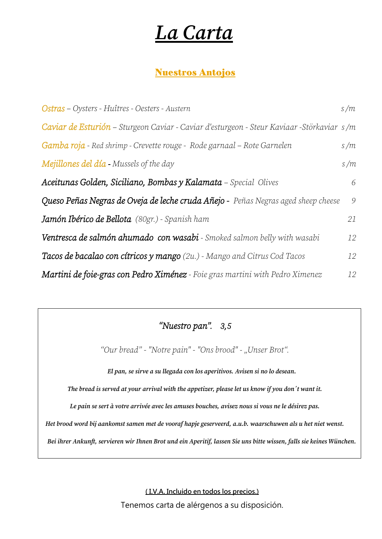# *La Carta*

# Nuestros Antojos

| Ostras - Oysters - Huîtres - Oesters - Austern                                             | s/m |
|--------------------------------------------------------------------------------------------|-----|
| Caviar de Esturión – Sturgeon Caviar - Caviar d'esturgeon - Steur Kaviaar - Störkaviar s/m |     |
| <b>Gamba roja - Red shrimp - Crevette rouge - Rode garnaal – Rote Garnelen</b>             | s/m |
| Mejillones del día - Mussels of the day                                                    | s/m |
| Aceitunas Golden, Siciliano, Bombas y Kalamata - Special Olives                            | 6   |
| Queso Peñas Negras de Oveja de leche cruda Añejo - Peñas Negras aged sheep cheese          | 9   |
| <b>Jamón Ibérico de Bellota</b> (80gr.) - Spanish ham                                      | 21  |
| Ventresca de salmón ahumado con wasabi - Smoked salmon belly with wasabi                   | 12  |
| <b>Tacos de bacalao con cítricos y mango</b> $(2u)$ - Mango and Citrus Cod Tacos           | 12  |
| Martini de foie-gras con Pedro Ximénez - Foie gras martini with Pedro Ximenez              | 12  |

# *"Nuestro pan". 3,5*

*"Our bread" - "Notre pain" - "Ons brood" - "Unser Brot".*

*El pan, se sirve a su llegada con los aperitivos. Avisen si no lo desean.*

*The bread is served at your arrival with the appetizer, please let us know if you don´t want it.*

*Le pain se sert à votre arrivée avec les amuses bouches, avisez nous si vous ne le désirez pas.*

*Het brood word bij aankomst samen met de vooraf hapje geserveerd, a.u.b. waarschuwen als u het niet wenst.*

*Bei ihrer Ankunft, servieren wir Ihnen Brot und ein Aperitif, lassen Sie uns bitte wissen, falls sie keines Wünchen.*

**( I.V.A. Incluido en todos los precios.)**

Tenemos carta de alérgenos a su disposición.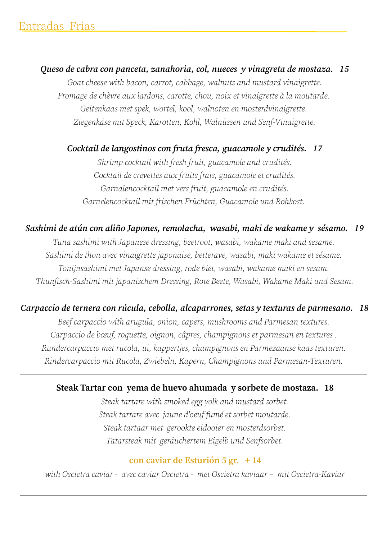*Queso de cabra con panceta, zanahoria, col, nueces y vinagreta de mostaza. 15 Goat cheese with bacon, carrot, cabbage, walnuts and mustard vinaigrette. Fromage de chèvre aux lardons, carotte, chou, noix et vinaigrette à la moutarde. Geitenkaas met spek, wortel, kool, walnoten en mosterdvinaigrette. Ziegenkäse mit Speck, Karotten, Kohl, Walnüssen und Senf-Vinaigrette.*

*Cocktail de langostinos con fruta fresca, guacamole y crudités. 17*

*Shrimp cocktail with fresh fruit, guacamole and crudités. Cocktail de crevettes aux fruits frais, guacamole et crudités. Garnalencocktail met vers fruit, guacamole en crudités. Garnelencocktail mit frischen Früchten, Guacamole und Rohkost.* 

# *Sashimi de atún con aliño Japones, remolacha, wasabi, maki de wakame y sésamo. 19*

*Tuna sashimi with Japanese dressing, beetroot, wasabi, wakame maki and sesame. Sashimi de thon avec vinaigrette japonaise, betterave, wasabi, maki wakame et sésame. Tonijnsashimi met Japanse dressing, rode biet, wasabi, wakame maki en sesam. Thunfisch-Sashimi mit japanischem Dressing, Rote Beete, Wasabi, Wakame Maki und Sesam.*

# *Carpaccio de ternera con rúcula, cebolla, alcaparrones, setas y texturas de parmesano. 18*

*Beef carpaccio with arugula, onion, capers, mushrooms and Parmesan textures. Carpaccio de bœuf, roquette, oignon, câpres, champignons et parmesan en textures . Rundercarpaccio met rucola, ui, kappertjes, champignons en Parmezaanse kaas texturen. Rindercarpaccio mit Rucola, Zwiebeln, Kapern, Champignons und Parmesan-Texturen.* 

#### **Steak Tartar con yema de huevo ahumada y sorbete de mostaza. 18**

*Steak tartare with smoked egg yolk and mustard sorbet. Steak tartare avec jaune d'oeuf fumé et sorbet moutarde. Steak tartaar met gerookte eidooier en mosterdsorbet. Tatarsteak mit geräuchertem Eigelb und Senfsorbet.*

#### **con caviar de Esturión 5 gr. + 14**

*with Oscietra caviar - avec caviar Oscietra - met Oscietra kaviaar – mit Oscietra-Kaviar*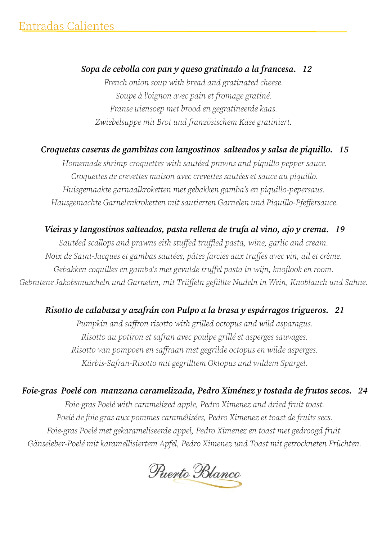# *Sopa de cebolla con pan y queso gratinado a la francesa. 12*

*French onion soup with bread and gratinated cheese. Soupe à l'oignon avec pain et fromage gratiné. Franse uiensoep met brood en gegratineerde kaas. Zwiebelsuppe mit Brot und französischem Käse gratiniert.* 

# *Croquetas caseras de gambitas con langostinos salteados y salsa de piquillo. 15*

*Homemade shrimp croquettes with sautéed prawns and piquillo pepper sauce. Croquettes de crevettes maison avec crevettes sautées et sauce au piquillo. Huisgemaakte garnaalkroketten met gebakken gamba's en piquillo-pepersaus. Hausgemachte Garnelenkroketten mit sautierten Garnelen und Piquillo-Pfeffersauce.*

# *Vieiras y langostinos salteados, pasta rellena de trufa al vino, ajo y crema. 19*

*Sautéed scallops and prawns eith stuffed truffled pasta, wine, garlic and cream. Noix de Saint-Jacques et gambas sautées, pâtes farcies aux truffes avec vin, ail et crème. Gebakken coquilles en gamba's met gevulde truffel pasta in wijn, knoflook en room. Gebratene Jakobsmuscheln und Garnelen, mit Trüffeln gefüllte Nudeln in Wein, Knoblauch und Sahne.* 

# *Risotto de calabaza y azafrán con Pulpo a la brasa y espárragos trigueros. 21*

*Pumpkin and saffron risotto with grilled octopus and wild asparagus. Risotto au potiron et safran avec poulpe grillé et asperges sauvages. Risotto van pompoen en saffraan met gegrilde octopus en wilde asperges. Kürbis-Safran-Risotto mit gegrilltem Oktopus und wildem Spargel.*

*Foie-gras Poelé con manzana caramelizada, Pedro Ximénez y tostada de frutos secos. 24 Foie-gras Poelé with caramelized apple, Pedro Ximenez and dried fruit toast. Poelé de foie gras aux pommes caramélisées, Pedro Ximenez et toast de fruits secs. Foie-gras Poelé met gekarameliseerde appel, Pedro Ximenez en toast met gedroogd fruit. Gänseleber-Poelé mit karamellisiertem Apfel, Pedro Ximenez und Toast mit getrockneten Früchten.*

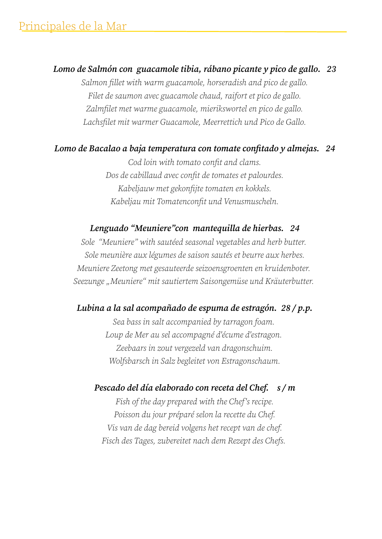*Lomo de Salmón con guacamole tibia, rábano picante y pico de gallo. 23 Salmon fillet with warm guacamole, horseradish and pico de gallo. Filet de saumon avec guacamole chaud, raifort et pico de gallo. Zalmfilet met warme guacamole, mierikswortel en pico de gallo. Lachsfilet mit warmer Guacamole, Meerrettich und Pico de Gallo.*

#### *Lomo de Bacalao a baja temperatura con tomate confitado y almejas. 24*

*Cod loin with tomato confit and clams. Dos de cabillaud avec confit de tomates et palourdes. Kabeljauw met gekonfijte tomaten en kokkels. Kabeljau mit Tomatenconfit und Venusmuscheln.*

#### *Lenguado "Meuniere"con mantequilla de hierbas. 24*

*Sole "Meuniere" with sautéed seasonal vegetables and herb butter. Sole meunière aux légumes de saison sautés et beurre aux herbes. Meuniere Zeetong met gesauteerde seizoensgroenten en kruidenboter.*  Seezunge "Meuniere" mit sautiertem Saisongemüse und Kräuterbutter.

#### *Lubina a la sal acompañado de espuma de estragón. 28 / p.p.*

*Sea bass in salt accompanied by tarragon foam. Loup de Mer au sel accompagné d'écume d'estragon. Zeebaars in zout vergezeld van dragonschuim. Wolfsbarsch in Salz begleitet von Estragonschaum.*

*Pescado del día elaborado con receta del Chef. s / m*

*Fish of the day prepared with the Chef's recipe. Poisson du jour préparé selon la recette du Chef. Vis van de dag bereid volgens het recept van de chef. Fisch des Tages, zubereitet nach dem Rezept des Chefs.*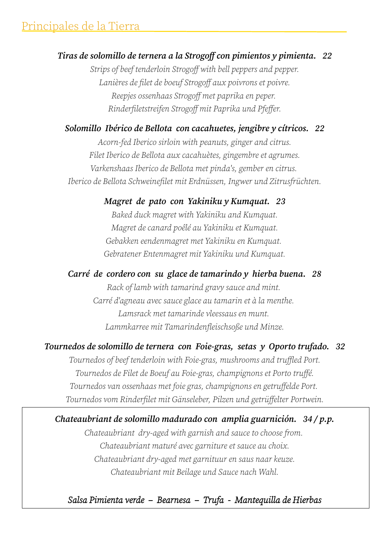# *Tiras de solomillo de ternera a la Strogoff con pimientos y pimienta. 22*

*Strips of beef tenderloin Strogoff with bell peppers and pepper. Lanières de filet de boeuf Strogoff aux poivrons et poivre. Reepjes ossenhaas Strogoff met paprika en peper. Rinderfiletstreifen Strogoff mit Paprika und Pfeffer.*

# *Solomillo Ibérico de Bellota con cacahuetes, jengibre y cítricos. 22*

*Acorn-fed Iberico sirloin with peanuts, ginger and citrus. Filet Iberico de Bellota aux cacahuètes, gingembre et agrumes. Varkenshaas Iberico de Bellota met pinda's, gember en citrus. Iberico de Bellota Schweinefilet mit Erdnüssen, Ingwer und Zitrusfrüchten.*

#### *Magret de pato con Yakiniku y Kumquat. 23*

*Baked duck magret with Yakiniku and Kumquat. Magret de canard poêlé au Yakiniku et Kumquat. Gebakken eendenmagret met Yakiniku en Kumquat. Gebratener Entenmagret mit Yakiniku und Kumquat.*

#### *Carré de cordero con su glace de tamarindo y hierba buena. 28*

*Rack of lamb with tamarind gravy sauce and mint. Carré d'agneau avec sauce glace au tamarin et à la menthe. Lamsrack met tamarinde vleessaus en munt. Lammkarree mit Tamarindenfleischsoße und Minze.*

#### *Tournedos de solomillo de ternera con Foie-gras, setas y Oporto trufado. 32*

*Tournedos of beef tenderloin with Foie-gras, mushrooms and truffled Port. Tournedos de Filet de Boeuf au Foie-gras, champignons et Porto truffé. Tournedos van ossenhaas met foie gras, champignons en getruffelde Port. Tournedos vom Rinderfilet mit Gänseleber, Pilzen und getrüffelter Portwein.*

#### *Chateaubriant de solomillo madurado con amplia guarnición. 34 / p.p.*

*Chateaubriant dry-aged with garnish and sauce to choose from. Chateaubriant maturé avec garniture et sauce au choix. Chateaubriant dry-aged met garnituur en saus naar keuze. Chateaubriant mit Beilage und Sauce nach Wahl.*

*Salsa Pimienta verde – Bearnesa – Trufa - Mantequilla de Hierbas*